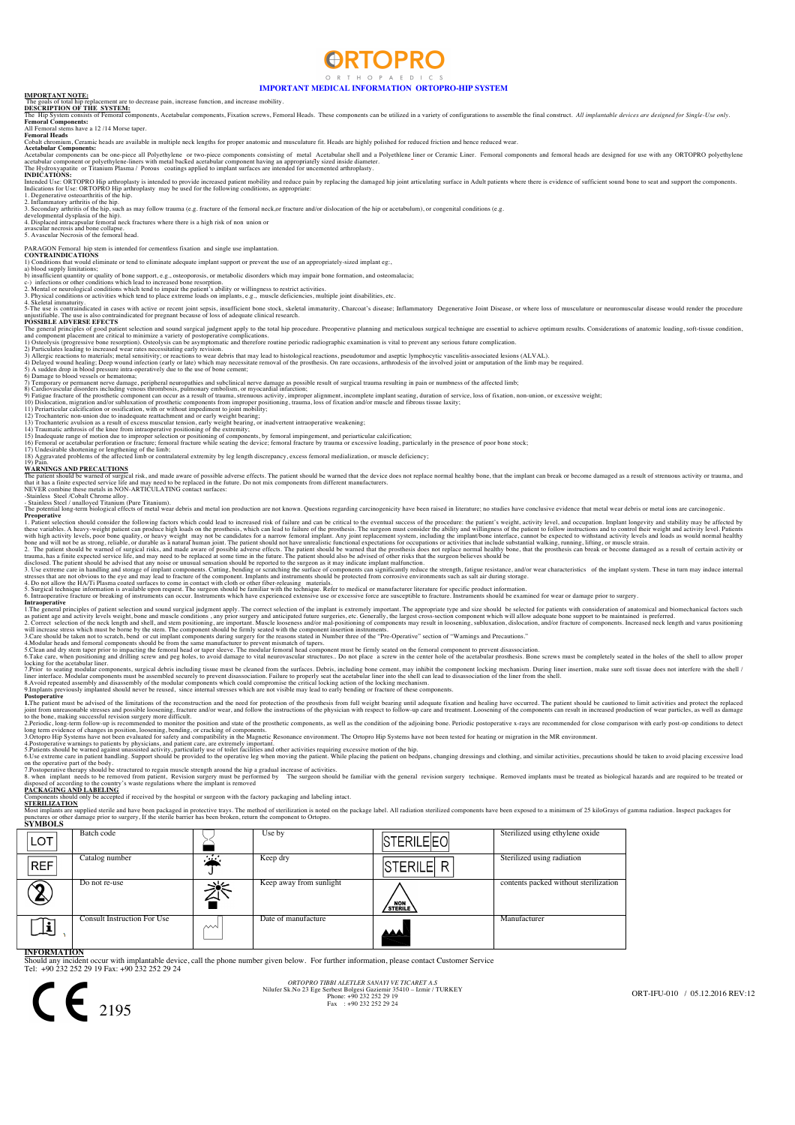### **ORTOPRO** O P T H O P A F D L C S

**IMPORTANT MEDICAL INFORMATION ORTOPRO-HIP SYSTEM IMPORTANT NOTE:** The goals of total hip replacement are to decrease pain, increase function, and increase mobility. **DESCRIPTION OF THE SYSTEM:** The Hip System consists of Fenoral components, Acetabular components, Fixation screws, Femoral Heads. These components can be utilized in a variety of configurations to assemble the final construct. All implantable devices

## **Femoral Components:**  All Femoral stems have a 12 /14 Morse taper. **Femoral Heads**

s<br>m, Ceramic heads are available in multiple neck lengths for proper anatomic and musculature fit. Heads are highly polished for reduced friction and hence reduced wear

Acetabular Components :<br>Acetabular components can be one-piece all Polyethylene or two-piece components consisting of metal Acetabular shell and a Polyethlene liner or Ceramic Liner. Femoral components and femoral heads ar

Indications for Use: ORTOPRO Hip arthroplasty is intended to provide increased patient mobility and reduce pain by replacing the damaged hip joint articulating surface in Adult patients where there is evidence of sufficien

PARAGON Fenoral hip stem is intended for cementless fixation and single use implantation.<br>CONTRANDICATIONS<br>a) blood supply limitations:<br>a) blood supply limitations which lead to eliminate adequate implant support or preven

and component placement are critical to minimize a variety of postoperative complications.<br>
1) Ostedyist foregressive bone resorption). Ostedyis can be asymptomatic and therefore routine periodic radiographic examination i

WARNINGS AND PRECAUTIONS<br>The pairent should be warned of surgical risk, and made aware of possible adverse effects. The pairent should be warned that the device does not replace normal healthy bone, that the implant can br

**Properative**<br>**Chaptainst selection should consider the following factors which could lead to increased risk of failure and can be critical to the eventual success of the procedure: the patient's weight, activity level, an** 

as paient age and activity levels weight, howe and muscle conditions, any prior surgery and anticipated fusture surgery and hecation of the neck charged facture of the paient age and extremely set of the paient age and ext

to the bone, making successful revision surgery more difficult.<br>2. Periodic, long-term follow-up is recommended to monitor the position and state of the prosthetic components, as well as the condition of the adjoining bone

on the operative part of the body.<br>7.Postoperative therapy should be structured to regain muscle strength around the hip a gradual increase of activities.<br>8. when implant needs to be removed from patient, Revision surgery disposed of according to the country's waste regulations where the implant is removed<br>PACKAGING AND LABELING<br>Components should only be accepted if received by the hospital or surgeon with the factory packaging and labeling

Most implants are supplied sterile and have been packaged in protective trays. The method of sterilization is noted on the package label. All radiation sterilized components have been exposed to a minimum of 25 kiloGrays o

| <b>SYMBOLS</b>     |                             |             |                         |                  |                                       |
|--------------------|-----------------------------|-------------|-------------------------|------------------|---------------------------------------|
| LOT                | Batch code                  |             | Use by                  | STERILEEO        | Sterilized using ethylene oxide       |
| <b>REF</b>         | Catalog number              | $\sim$<br>u | Keep dry                | <b>STERILE R</b> | Sterilized using radiation            |
|                    | Do not re-use               |             | Keep away from sunlight | STERILE          | contents packed without sterilization |
|                    | Consult Instruction For Use | ∼∿          | Date of manufacture     | لممم             | Manufacturer                          |
| <b>INFORMATION</b> |                             |             |                         |                  |                                       |

**INFORMATION** Should any incident occur with implantable device, call the phone number given below. For further information, please contact Customer Service Tel: +90 232 252 29 19 Fax: +90 232 252 29 24



ORT-IFU-010 / 05.12.2016 REV:12



Phone: +90 232 252 29 19<br>Fax : +90 232 252 29 19